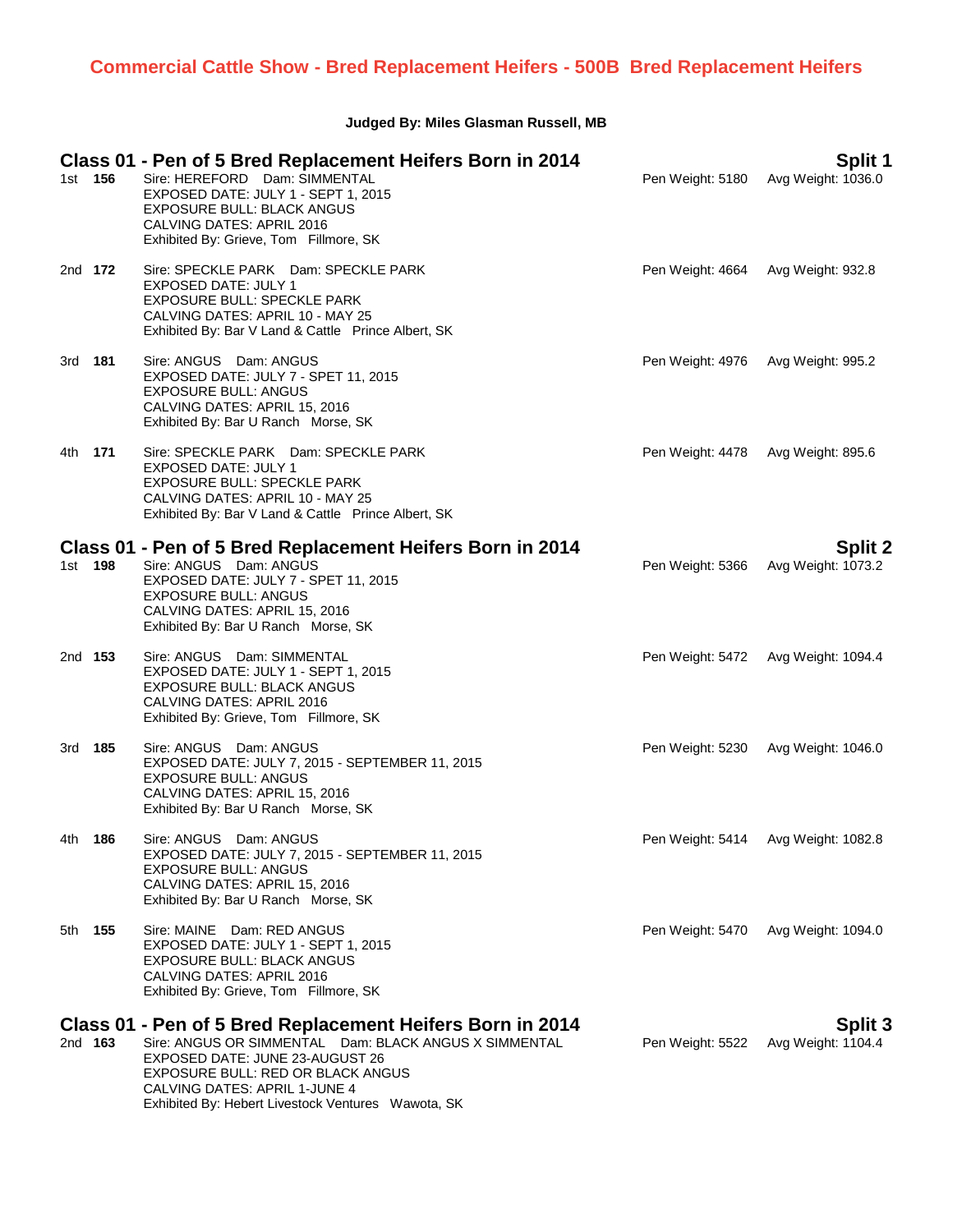# **Judged By: Miles Glasman Russell, MB**

| 1st 156        | Class 01 - Pen of 5 Bred Replacement Heifers Born in 2014<br>Sire: HEREFORD Dam: SIMMENTAL<br>EXPOSED DATE: JULY 1 - SEPT 1, 2015<br><b>EXPOSURE BULL: BLACK ANGUS</b><br>CALVING DATES: APRIL 2016<br>Exhibited By: Grieve, Tom Fillmore, SK                                     | Pen Weight: 5180 | Split 1<br>Avg Weight: 1036.0        |
|----------------|-----------------------------------------------------------------------------------------------------------------------------------------------------------------------------------------------------------------------------------------------------------------------------------|------------------|--------------------------------------|
| 2nd 172        | Sire: SPECKLE PARK Dam: SPECKLE PARK<br>EXPOSED DATE: JULY 1<br><b>EXPOSURE BULL: SPECKLE PARK</b><br>CALVING DATES: APRIL 10 - MAY 25<br>Exhibited By: Bar V Land & Cattle Prince Albert, SK                                                                                     | Pen Weight: 4664 | Avg Weight: 932.8                    |
| 3rd <b>181</b> | Sire: ANGUS Dam: ANGUS<br>EXPOSED DATE: JULY 7 - SPET 11, 2015<br><b>EXPOSURE BULL: ANGUS</b><br>CALVING DATES: APRIL 15, 2016<br>Exhibited By: Bar U Ranch Morse, SK                                                                                                             | Pen Weight: 4976 | Avg Weight: 995.2                    |
| 4th <b>171</b> | Sire: SPECKLE PARK Dam: SPECKLE PARK<br>EXPOSED DATE: JULY 1<br><b>EXPOSURE BULL: SPECKLE PARK</b><br>CALVING DATES: APRIL 10 - MAY 25<br>Exhibited By: Bar V Land & Cattle Prince Albert, SK                                                                                     | Pen Weight: 4478 | Avg Weight: 895.6                    |
| 1st 198        | Class 01 - Pen of 5 Bred Replacement Heifers Born in 2014<br>Sire: ANGUS Dam: ANGUS<br>EXPOSED DATE: JULY 7 - SPET 11, 2015<br><b>EXPOSURE BULL: ANGUS</b><br>CALVING DATES: APRIL 15, 2016<br>Exhibited By: Bar U Ranch Morse, SK                                                | Pen Weight: 5366 | <b>Split 2</b><br>Avg Weight: 1073.2 |
| 2nd 153        | Sire: ANGUS Dam: SIMMENTAL<br>EXPOSED DATE: JULY 1 - SEPT 1, 2015<br><b>EXPOSURE BULL: BLACK ANGUS</b><br>CALVING DATES: APRIL 2016<br>Exhibited By: Grieve, Tom Fillmore, SK                                                                                                     | Pen Weight: 5472 | Avg Weight: 1094.4                   |
| 3rd <b>185</b> | Sire: ANGUS Dam: ANGUS<br>EXPOSED DATE: JULY 7, 2015 - SEPTEMBER 11, 2015<br><b>EXPOSURE BULL: ANGUS</b><br>CALVING DATES: APRIL 15, 2016<br>Exhibited By: Bar U Ranch Morse, SK                                                                                                  | Pen Weight: 5230 | Avg Weight: 1046.0                   |
| 4th <b>186</b> | Sire: ANGUS Dam: ANGUS<br>EXPOSED DATE: JULY 7, 2015 - SEPTEMBER 11, 2015<br><b>EXPOSURE BULL: ANGUS</b><br>CALVING DATES: APRIL 15, 2016<br>Exhibited By: Bar U Ranch Morse, SK                                                                                                  |                  | Pen Weight: 5414 Avg Weight: 1082.8  |
| 5th <b>155</b> | Sire: MAINE Dam: RED ANGUS<br>EXPOSED DATE: JULY 1 - SEPT 1, 2015<br><b>EXPOSURE BULL: BLACK ANGUS</b><br>CALVING DATES: APRIL 2016<br>Exhibited By: Grieve, Tom Fillmore, SK                                                                                                     | Pen Weight: 5470 | Avg Weight: 1094.0                   |
| 2nd <b>163</b> | Class 01 - Pen of 5 Bred Replacement Heifers Born in 2014<br>Sire: ANGUS OR SIMMENTAL Dam: BLACK ANGUS X SIMMENTAL<br>EXPOSED DATE: JUNE 23-AUGUST 26<br>EXPOSURE BULL: RED OR BLACK ANGUS<br>CALVING DATES: APRIL 1-JUNE 4<br>Exhibited By: Hebert Livestock Ventures Wawota, SK | Pen Weight: 5522 | <b>Split 3</b><br>Avg Weight: 1104.4 |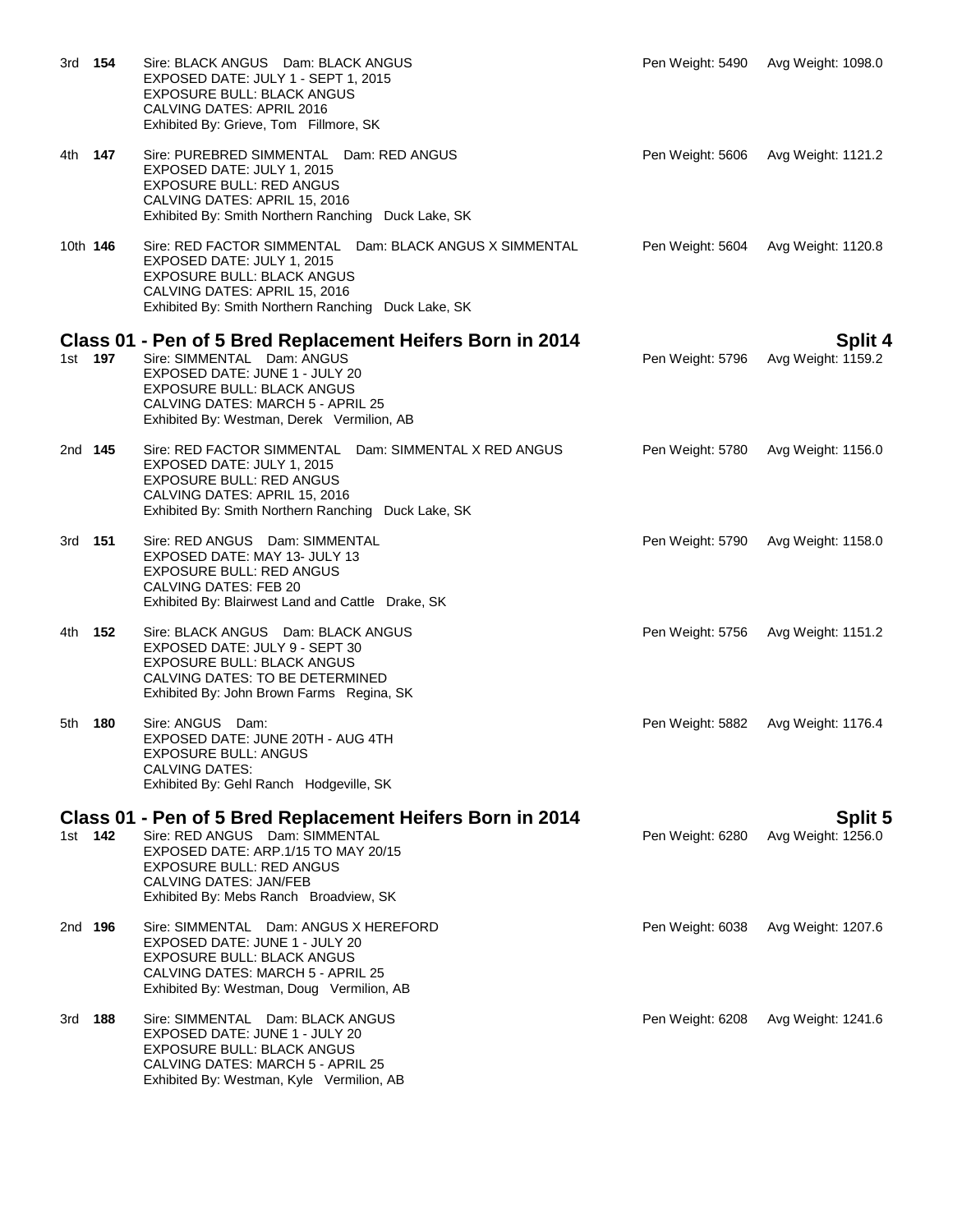| 3rd             | 154            | Sire: BLACK ANGUS Dam: BLACK ANGUS<br>EXPOSED DATE: JULY 1 - SEPT 1, 2015<br>EXPOSURE BULL: BLACK ANGUS<br>CALVING DATES: APRIL 2016<br>Exhibited By: Grieve, Tom Fillmore, SK                                                                    | Pen Weight: 5490 | Avg Weight: 1098.0                   |
|-----------------|----------------|---------------------------------------------------------------------------------------------------------------------------------------------------------------------------------------------------------------------------------------------------|------------------|--------------------------------------|
| 4th l           | 147            | Sire: PUREBRED SIMMENTAL Dam: RED ANGUS<br>EXPOSED DATE: JULY 1, 2015<br><b>EXPOSURE BULL: RED ANGUS</b><br>CALVING DATES: APRIL 15, 2016<br>Exhibited By: Smith Northern Ranching Duck Lake, SK                                                  | Pen Weight: 5606 | Avg Weight: 1121.2                   |
| 10th <b>146</b> |                | Sire: RED FACTOR SIMMENTAL Dam: BLACK ANGUS X SIMMENTAL<br>EXPOSED DATE: JULY 1, 2015<br>EXPOSURE BULL: BLACK ANGUS<br>CALVING DATES: APRIL 15, 2016<br>Exhibited By: Smith Northern Ranching Duck Lake, SK                                       | Pen Weight: 5604 | Avg Weight: 1120.8                   |
|                 | 1st 197        | Class 01 - Pen of 5 Bred Replacement Heifers Born in 2014<br>Sire: SIMMENTAL Dam: ANGUS<br>EXPOSED DATE: JUNE 1 - JULY 20<br><b>EXPOSURE BULL: BLACK ANGUS</b><br>CALVING DATES: MARCH 5 - APRIL 25<br>Exhibited By: Westman, Derek Vermilion, AB | Pen Weight: 5796 | <b>Split 4</b><br>Avg Weight: 1159.2 |
| 2nd 145         |                | Sire: RED FACTOR SIMMENTAL Dam: SIMMENTAL X RED ANGUS<br>EXPOSED DATE: JULY 1, 2015<br><b>EXPOSURE BULL: RED ANGUS</b><br>CALVING DATES: APRIL 15, 2016<br>Exhibited By: Smith Northern Ranching Duck Lake, SK                                    | Pen Weight: 5780 | Avg Weight: 1156.0                   |
| 3rd 151         |                | Sire: RED ANGUS Dam: SIMMENTAL<br>EXPOSED DATE: MAY 13- JULY 13<br><b>EXPOSURE BULL: RED ANGUS</b><br>CALVING DATES: FEB 20<br>Exhibited By: Blairwest Land and Cattle Drake, SK                                                                  | Pen Weight: 5790 | Avg Weight: 1158.0                   |
| 4th -           | 152            | Sire: BLACK ANGUS Dam: BLACK ANGUS<br>EXPOSED DATE: JULY 9 - SEPT 30<br><b>EXPOSURE BULL: BLACK ANGUS</b><br>CALVING DATES: TO BE DETERMINED<br>Exhibited By: John Brown Farms Regina, SK                                                         | Pen Weight: 5756 | Avg Weight: 1151.2                   |
| 5th             | 180            | Sire: ANGUS Dam:<br>EXPOSED DATE: JUNE 20TH - AUG 4TH<br><b>EXPOSURE BULL: ANGUS</b><br>CALVING DATES:<br>Exhibited By: Gehl Ranch Hodgeville, SK                                                                                                 | Pen Weight: 5882 | Avg Weight: 1176.4                   |
|                 | 1st 142        | Class 01 - Pen of 5 Bred Replacement Heifers Born in 2014<br>Sire: RED ANGUS Dam: SIMMENTAL<br>EXPOSED DATE: ARP.1/15 TO MAY 20/15<br><b>EXPOSURE BULL: RED ANGUS</b><br>CALVING DATES: JAN/FEB<br>Exhibited By: Mebs Ranch Broadview, SK         | Pen Weight: 6280 | <b>Split 5</b><br>Avg Weight: 1256.0 |
|                 | 2nd <b>196</b> | Sire: SIMMENTAL Dam: ANGUS X HEREFORD<br>EXPOSED DATE: JUNE 1 - JULY 20<br><b>EXPOSURE BULL: BLACK ANGUS</b><br>CALVING DATES: MARCH 5 - APRIL 25<br>Exhibited By: Westman, Doug Vermilion, AB                                                    | Pen Weight: 6038 | Avg Weight: 1207.6                   |
| 3rd             | 188            | Sire: SIMMENTAL Dam: BLACK ANGUS<br>EXPOSED DATE: JUNE 1 - JULY 20<br><b>EXPOSURE BULL: BLACK ANGUS</b><br>CALVING DATES: MARCH 5 - APRIL 25<br>Exhibited By: Westman, Kyle Vermilion, AB                                                         | Pen Weight: 6208 | Avg Weight: 1241.6                   |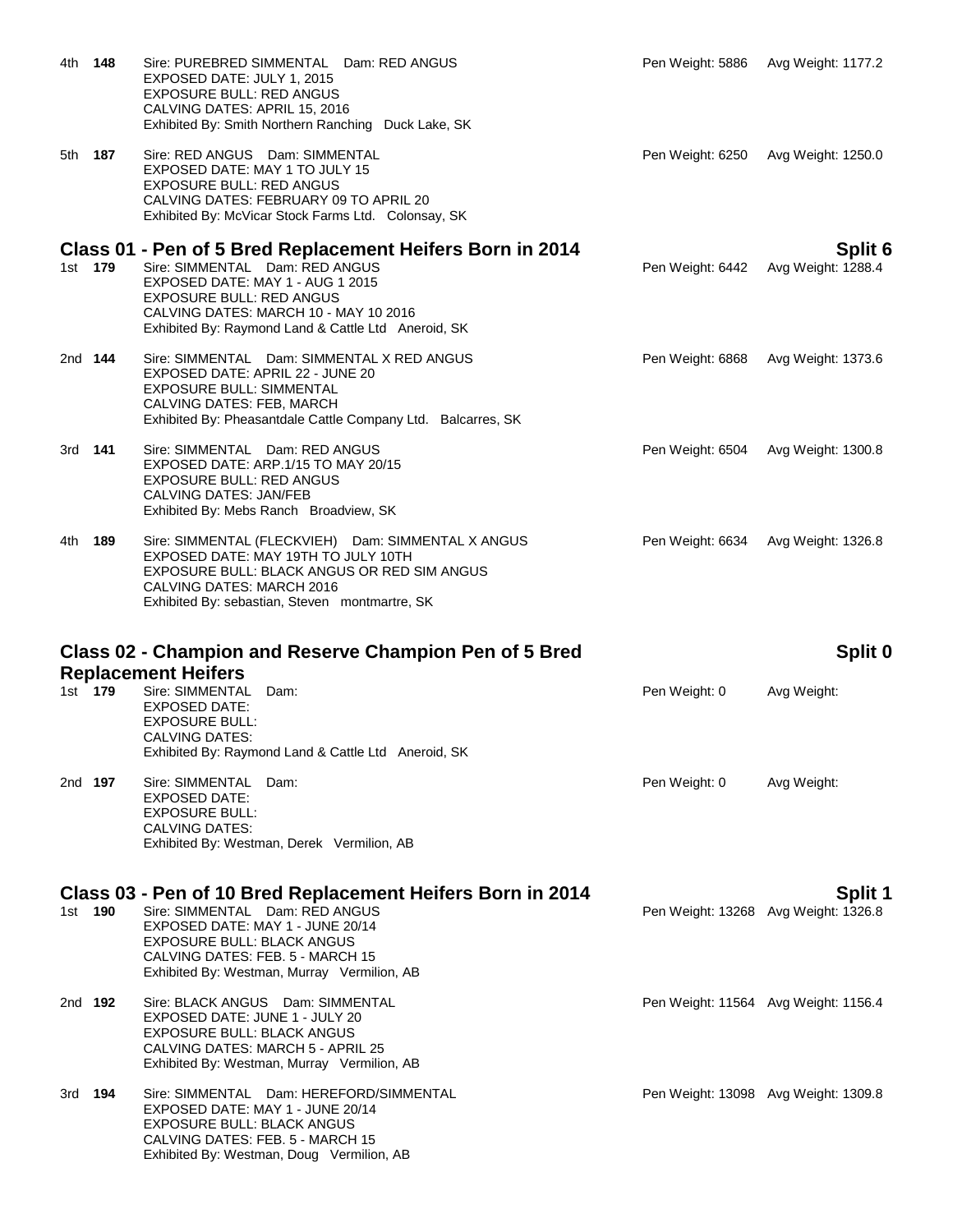| 4th            | 148 | Sire: PUREBRED SIMMENTAL Dam: RED ANGUS<br>EXPOSED DATE: JULY 1, 2015<br><b>EXPOSURE BULL: RED ANGUS</b><br>CALVING DATES: APRIL 15, 2016<br>Exhibited By: Smith Northern Ranching Duck Lake, SK                                                                   |                  | Pen Weight: 5886 Avg Weight: 1177.2             |
|----------------|-----|--------------------------------------------------------------------------------------------------------------------------------------------------------------------------------------------------------------------------------------------------------------------|------------------|-------------------------------------------------|
| 5th 187        |     | Sire: RED ANGUS Dam: SIMMENTAL<br>EXPOSED DATE: MAY 1 TO JULY 15<br><b>EXPOSURE BULL: RED ANGUS</b><br>CALVING DATES: FEBRUARY 09 TO APRIL 20<br>Exhibited By: McVicar Stock Farms Ltd. Colonsay, SK                                                               | Pen Weight: 6250 | Avg Weight: 1250.0                              |
| 1st 179        |     | Class 01 - Pen of 5 Bred Replacement Heifers Born in 2014<br>Sire: SIMMENTAL Dam: RED ANGUS<br>EXPOSED DATE: MAY 1 - AUG 1 2015<br><b>EXPOSURE BULL: RED ANGUS</b><br>CALVING DATES: MARCH 10 - MAY 10 2016<br>Exhibited By: Raymond Land & Cattle Ltd Aneroid, SK | Pen Weight: 6442 | Split 6<br>Avg Weight: 1288.4                   |
| 2nd <b>144</b> |     | Sire: SIMMENTAL Dam: SIMMENTAL X RED ANGUS<br>EXPOSED DATE: APRIL 22 - JUNE 20<br><b>EXPOSURE BULL: SIMMENTAL</b><br>CALVING DATES: FEB, MARCH<br>Exhibited By: Pheasantdale Cattle Company Ltd. Balcarres, SK                                                     | Pen Weight: 6868 | Avg Weight: 1373.6                              |
| 3rd <b>141</b> |     | Sire: SIMMENTAL Dam: RED ANGUS<br>EXPOSED DATE: ARP.1/15 TO MAY 20/15<br><b>EXPOSURE BULL: RED ANGUS</b><br><b>CALVING DATES: JAN/FEB</b><br>Exhibited By: Mebs Ranch Broadview, SK                                                                                | Pen Weight: 6504 | Avg Weight: 1300.8                              |
| 4th -          | 189 | Sire: SIMMENTAL (FLECKVIEH) Dam: SIMMENTAL X ANGUS<br>EXPOSED DATE: MAY 19TH TO JULY 10TH<br>EXPOSURE BULL: BLACK ANGUS OR RED SIM ANGUS<br>CALVING DATES: MARCH 2016<br>Exhibited By: sebastian, Steven montmartre, SK                                            | Pen Weight: 6634 | Avg Weight: 1326.8                              |
|                |     |                                                                                                                                                                                                                                                                    |                  |                                                 |
|                |     | Class 02 - Champion and Reserve Champion Pen of 5 Bred                                                                                                                                                                                                             |                  | Split 0                                         |
| 1st 179        |     | <b>Replacement Heifers</b><br>Sire: SIMMENTAL<br>Dam:<br>EXPOSED DATE:<br><b>EXPOSURE BULL:</b><br>CALVING DATES:<br>Exhibited By: Raymond Land & Cattle Ltd Aneroid, SK                                                                                           | Pen Weight: 0    | Avg Weight:                                     |
| 2nd <b>197</b> |     | Sire: SIMMENTAL<br>Dam:<br><b>EXPOSED DATE:</b><br><b>EXPOSURE BULL:</b><br>CALVING DATES:<br>Exhibited By: Westman, Derek Vermilion, AB                                                                                                                           | Pen Weight: 0    | Avg Weight:                                     |
| 1st l          | 190 | Class 03 - Pen of 10 Bred Replacement Heifers Born in 2014<br>Sire: SIMMENTAL Dam: RED ANGUS<br>EXPOSED DATE: MAY 1 - JUNE 20/14<br><b>EXPOSURE BULL: BLACK ANGUS</b><br>CALVING DATES: FEB. 5 - MARCH 15<br>Exhibited By: Westman, Murray Vermilion, AB           |                  | Split 1<br>Pen Weight: 13268 Avg Weight: 1326.8 |
| 2nd <b>192</b> |     | Sire: BLACK ANGUS Dam: SIMMENTAL<br>EXPOSED DATE: JUNE 1 - JULY 20<br>EXPOSURE BULL: BLACK ANGUS<br>CALVING DATES: MARCH 5 - APRIL 25<br>Exhibited By: Westman, Murray Vermilion, AB                                                                               |                  | Pen Weight: 11564 Avg Weight: 1156.4            |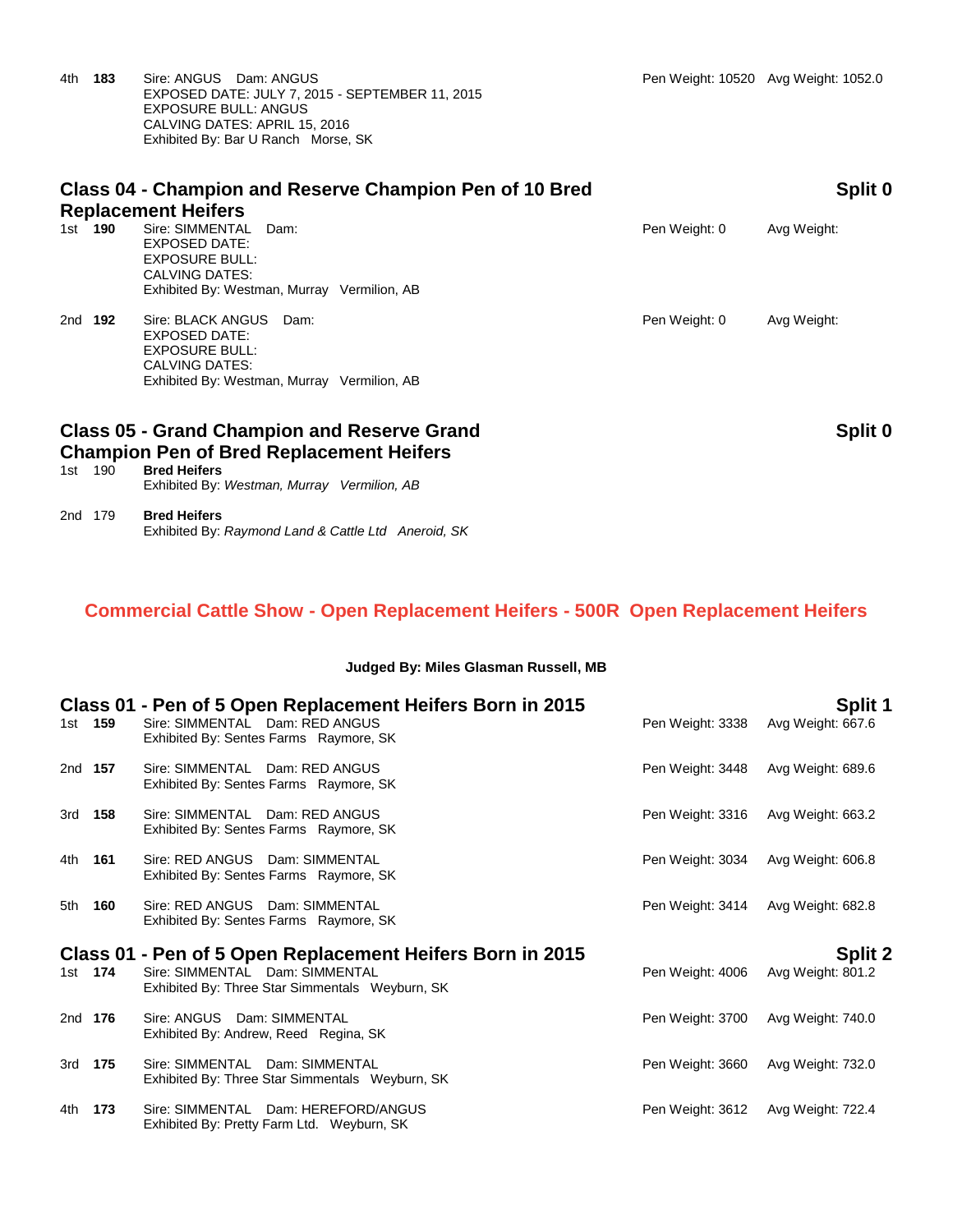4th **183** Sire: ANGUS Dam: ANGUS Pen Weight: 10520 Avg Weight: 1052.0 EXPOSED DATE: JULY 7, 2015 - SEPTEMBER 11, 2015 EXPOSURE BULL: ANGUS CALVING DATES: APRIL 15, 2016 Exhibited By: Bar U Ranch Morse, SK

| Class 04 - Champion and Reserve Champion Pen of 10 Bred<br><b>Replacement Heifers</b> |                                                                                                                                      |  |               | Split 0     |  |
|---------------------------------------------------------------------------------------|--------------------------------------------------------------------------------------------------------------------------------------|--|---------------|-------------|--|
| 190<br>1st –                                                                          | Sire: SIMMENTAL<br>Dam:<br>EXPOSED DATE:<br><b>EXPOSURE BULL:</b><br>CALVING DATES:<br>Exhibited By: Westman, Murray Vermilion, AB   |  | Pen Weight: 0 | Avg Weight: |  |
| 2nd<br>192                                                                            | Sire: BLACK ANGUS<br>Dam:<br>EXPOSED DATE:<br><b>EXPOSURE BULL:</b><br>CALVING DATES:<br>Exhibited By: Westman, Murray Vermilion, AB |  | Pen Weight: 0 | Avg Weight: |  |
|                                                                                       | <b>Class 05 - Grand Champion and Reserve Grand</b><br><b>Champion Pen of Bred Replacement Heifers</b>                                |  |               | Split 0     |  |

| 1st | 190. | <b>Bred Heifers</b>                         |  |
|-----|------|---------------------------------------------|--|
|     |      | Exhibited By: Westman, Murray Vermilion, AB |  |
|     |      |                                             |  |

### 2nd 179 **Bred Heifers** Exhibited By: *Raymond Land & Cattle Ltd Aneroid, SK*

## **Commercial Cattle Show - Open Replacement Heifers - 500R Open Replacement Heifers**

### **Judged By: Miles Glasman Russell, MB**

|         |       | Class 01 - Pen of 5 Open Replacement Heifers Born in 2015                         |                  | Split 1           |
|---------|-------|-----------------------------------------------------------------------------------|------------------|-------------------|
| 1st 159 |       | Sire: SIMMENTAL Dam: RED ANGUS<br>Exhibited By: Sentes Farms Raymore, SK          | Pen Weight: 3338 | Avg Weight: 667.6 |
| 2nd 157 |       | Sire: SIMMENTAL Dam: RED ANGUS<br>Exhibited By: Sentes Farms Raymore, SK          | Pen Weight: 3448 | Avg Weight: 689.6 |
| 3rd 158 |       | Sire: SIMMENTAL Dam: RED ANGUS<br>Exhibited By: Sentes Farms Raymore, SK          | Pen Weight: 3316 | Avg Weight: 663.2 |
| 4th     | 161   | Sire: RED ANGUS Dam: SIMMENTAL<br>Exhibited By: Sentes Farms Raymore, SK          | Pen Weight: 3034 | Avg Weight: 606.8 |
| 5th     | 160   | Sire: RED ANGUS Dam: SIMMENTAL<br>Exhibited By: Sentes Farms Raymore, SK          | Pen Weight: 3414 | Avg Weight: 682.8 |
|         |       | Class 01 - Pen of 5 Open Replacement Heifers Born in 2015                         |                  | <b>Split 2</b>    |
| 1st 174 |       | Sire: SIMMENTAL Dam: SIMMENTAL<br>Exhibited By: Three Star Simmentals Weyburn, SK | Pen Weight: 4006 | Avg Weight: 801.2 |
| 2nd 176 |       | Sire: ANGUS Dam: SIMMENTAL<br>Exhibited By: Andrew, Reed Regina, SK               | Pen Weight: 3700 | Avg Weight: 740.0 |
| 3rd 175 |       | Sire: SIMMENTAL Dam: SIMMENTAL<br>Exhibited By: Three Star Simmentals Weyburn, SK | Pen Weight: 3660 | Avg Weight: 732.0 |
| 4th     | - 173 | Sire: SIMMENTAL Dam: HEREFORD/ANGUS<br>Exhibited By: Pretty Farm Ltd. Weyburn, SK | Pen Weight: 3612 | Avg Weight: 722.4 |